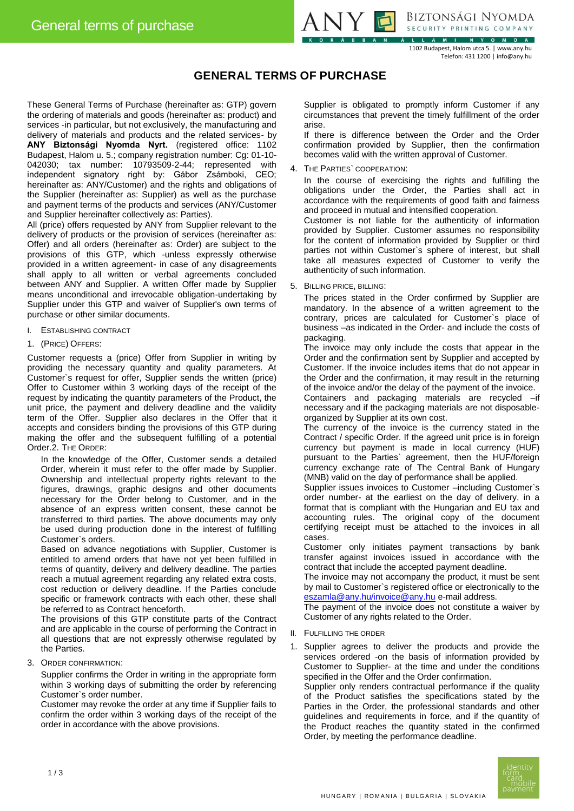

BIZTONSÁGI NYOMDA SECURITY PRINTING COMPANY

1102 Budapest, Halom utca 5. | www.any.hu Telefon: 431 1200 | info@any.hu

## **GENERAL TERMS OF PURCHASE**

These General Terms of Purchase (hereinafter as: GTP) govern the ordering of materials and goods (hereinafter as: product) and services -in particular, but not exclusively, the manufacturing and delivery of materials and products and the related services- by **ANY Biztonsági Nyomda Nyrt.** (registered office: 1102 Budapest, Halom u. 5.; company registration number: Cg: 01-10- 042030; tax number: 10793509-2-44; represented with independent signatory right by: Gábor Zsámboki, CEO; hereinafter as: ANY/Customer) and the rights and obligations of the Supplier (hereinafter as: Supplier) as well as the purchase and payment terms of the products and services (ANY/Customer and Supplier hereinafter collectively as: Parties).

All (price) offers requested by ANY from Supplier relevant to the delivery of products or the provision of services (hereinafter as: Offer) and all orders (hereinafter as: Order) are subject to the provisions of this GTP, which -unless expressly otherwise provided in a written agreement- in case of any disagreements shall apply to all written or verbal agreements concluded between ANY and Supplier. A written Offer made by Supplier means unconditional and irrevocable obligation-undertaking by Supplier under this GTP and waiver of Supplier's own terms of purchase or other similar documents.

- I. ESTABLISHING CONTRACT
- 1. (PRICE) OFFERS:

Customer requests a (price) Offer from Supplier in writing by providing the necessary quantity and quality parameters. At Customer`s request for offer, Supplier sends the written (price) Offer to Customer within 3 working days of the receipt of the request by indicating the quantity parameters of the Product, the unit price, the payment and delivery deadline and the validity term of the Offer. Supplier also declares in the Offer that it accepts and considers binding the provisions of this GTP during making the offer and the subsequent fulfilling of a potential Order.2. THE ORDER:

In the knowledge of the Offer, Customer sends a detailed Order, wherein it must refer to the offer made by Supplier. Ownership and intellectual property rights relevant to the figures, drawings, graphic designs and other documents necessary for the Order belong to Customer, and in the absence of an express written consent, these cannot be transferred to third parties. The above documents may only be used during production done in the interest of fulfilling Customer`s orders.

Based on advance negotiations with Supplier, Customer is entitled to amend orders that have not yet been fulfilled in terms of quantity, delivery and delivery deadline. The parties reach a mutual agreement regarding any related extra costs, cost reduction or delivery deadline. If the Parties conclude specific or framework contracts with each other, these shall be referred to as Contract henceforth.

The provisions of this GTP constitute parts of the Contract and are applicable in the course of performing the Contract in all questions that are not expressly otherwise regulated by the Parties.

3. ORDER CONFIRMATION:

Supplier confirms the Order in writing in the appropriate form within 3 working days of submitting the order by referencing Customer`s order number.

Customer may revoke the order at any time if Supplier fails to confirm the order within 3 working days of the receipt of the order in accordance with the above provisions.

Supplier is obligated to promptly inform Customer if any circumstances that prevent the timely fulfillment of the order arise.

If there is difference between the Order and the Order confirmation provided by Supplier, then the confirmation becomes valid with the written approval of Customer.

4. THE PARTIES` COOPERATION:

In the course of exercising the rights and fulfilling the obligations under the Order, the Parties shall act in accordance with the requirements of good faith and fairness and proceed in mutual and intensified cooperation.

Customer is not liable for the authenticity of information provided by Supplier. Customer assumes no responsibility for the content of information provided by Supplier or third parties not within Customer`s sphere of interest, but shall take all measures expected of Customer to verify the authenticity of such information.

5. BILLING PRICE, BILLING:

The prices stated in the Order confirmed by Supplier are mandatory. In the absence of a written agreement to the contrary, prices are calculated for Customer`s place of business –as indicated in the Order- and include the costs of packaging.

The invoice may only include the costs that appear in the Order and the confirmation sent by Supplier and accepted by Customer. If the invoice includes items that do not appear in the Order and the confirmation, it may result in the returning of the invoice and/or the delay of the payment of the invoice. Containers and packaging materials are recycled –if necessary and if the packaging materials are not disposableorganized by Supplier at its own cost.

The currency of the invoice is the currency stated in the Contract / specific Order. If the agreed unit price is in foreign currency but payment is made in local currency (HUF) pursuant to the Parties` agreement, then the HUF/foreign currency exchange rate of The Central Bank of Hungary (MNB) valid on the day of performance shall be applied.

Supplier issues invoices to Customer –including Customer`s order number- at the earliest on the day of delivery, in a format that is compliant with the Hungarian and EU tax and accounting rules. The original copy of the document certifying receipt must be attached to the invoices in all cases.

Customer only initiates payment transactions by bank transfer against invoices issued in accordance with the contract that include the accepted payment deadline.

The invoice may not accompany the product, it must be sent by mail to Customer`s registered office or electronically to the [eszamla@any.hu/invoice@any.hu](mailto:eszamla@any.hu/invoice@any.hu) e-mail address.

The payment of the invoice does not constitute a waiver by Customer of any rights related to the Order.

- II. FULFILLING THE ORDER
- 1. Supplier agrees to deliver the products and provide the services ordered -on the basis of information provided by Customer to Supplier- at the time and under the conditions specified in the Offer and the Order confirmation.

Supplier only renders contractual performance if the quality of the Product satisfies the specifications stated by the Parties in the Order, the professional standards and other guidelines and requirements in force, and if the quantity of the Product reaches the quantity stated in the confirmed Order, by meeting the performance deadline.

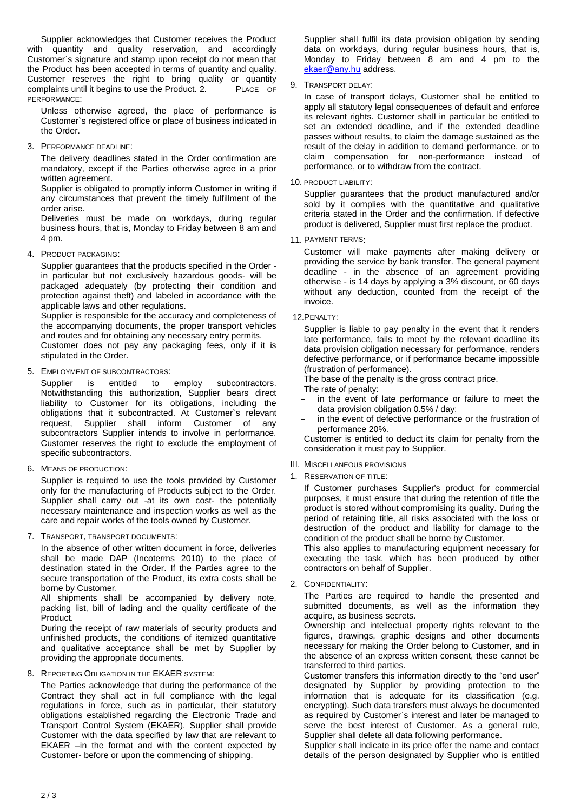Supplier acknowledges that Customer receives the Product with quantity and quality reservation, and accordingly Customer`s signature and stamp upon receipt do not mean that the Product has been accepted in terms of quantity and quality. Customer reserves the right to bring quality or quantity complaints until it begins to use the Product. 2. PLACE OF PERFORMANCE:

Unless otherwise agreed, the place of performance is Customer`s registered office or place of business indicated in the Order.

3. PERFORMANCE DEADLINE:

The delivery deadlines stated in the Order confirmation are mandatory, except if the Parties otherwise agree in a prior written agreement.

Supplier is obligated to promptly inform Customer in writing if any circumstances that prevent the timely fulfillment of the order arise.

Deliveries must be made on workdays, during regular business hours, that is, Monday to Friday between 8 am and 4 pm.

4. PRODUCT PACKAGING:

Supplier guarantees that the products specified in the Order in particular but not exclusively hazardous goods- will be packaged adequately (by protecting their condition and protection against theft) and labeled in accordance with the applicable laws and other regulations.

Supplier is responsible for the accuracy and completeness of the accompanying documents, the proper transport vehicles and routes and for obtaining any necessary entry permits.

Customer does not pay any packaging fees, only if it is stipulated in the Order.

5. EMPLOYMENT OF SUBCONTRACTORS:

Supplier is entitled to employ subcontractors. Notwithstanding this authorization, Supplier bears direct liability to Customer for its obligations, including the obligations that it subcontracted. At Customer`s relevant request, Supplier shall inform Customer of any subcontractors Supplier intends to involve in performance. Customer reserves the right to exclude the employment of specific subcontractors.

6. MEANS OF PRODUCTION:

Supplier is required to use the tools provided by Customer only for the manufacturing of Products subject to the Order. Supplier shall carry out -at its own cost- the potentially necessary maintenance and inspection works as well as the care and repair works of the tools owned by Customer.

7. TRANSPORT, TRANSPORT DOCUMENTS:

In the absence of other written document in force, deliveries shall be made DAP (Incoterms 2010) to the place of destination stated in the Order. If the Parties agree to the secure transportation of the Product, its extra costs shall be borne by Customer.

All shipments shall be accompanied by delivery note, packing list, bill of lading and the quality certificate of the Product.

During the receipt of raw materials of security products and unfinished products, the conditions of itemized quantitative and qualitative acceptance shall be met by Supplier by providing the appropriate documents.

8. REPORTING OBLIGATION IN THE EKAER SYSTEM:

The Parties acknowledge that during the performance of the Contract they shall act in full compliance with the legal regulations in force, such as in particular, their statutory obligations established regarding the Electronic Trade and Transport Control System (EKAER). Supplier shall provide Customer with the data specified by law that are relevant to EKAER –in the format and with the content expected by Customer- before or upon the commencing of shipping.

Supplier shall fulfil its data provision obligation by sending data on workdays, during regular business hours, that is, Monday to Friday between 8 am and 4 pm to the [ekaer@any.hu](mailto:ekaer@any.hu) address.

9. TRANSPORT DELAY:

In case of transport delays, Customer shall be entitled to apply all statutory legal consequences of default and enforce its relevant rights. Customer shall in particular be entitled to set an extended deadline, and if the extended deadline passes without results, to claim the damage sustained as the result of the delay in addition to demand performance, or to claim compensation for non-performance instead of performance, or to withdraw from the contract.

10. PRODUCT LIABILITY:

Supplier guarantees that the product manufactured and/or sold by it complies with the quantitative and qualitative criteria stated in the Order and the confirmation. If defective product is delivered, Supplier must first replace the product.

11. PAYMENT TERMS:

Customer will make payments after making delivery or providing the service by bank transfer. The general payment deadline - in the absence of an agreement providing otherwise - is 14 days by applying a 3% discount, or 60 days without any deduction, counted from the receipt of the invoice.

12.PENALTY:

Supplier is liable to pay penalty in the event that it renders late performance, fails to meet by the relevant deadline its data provision obligation necessary for performance, renders defective performance, or if performance became impossible (frustration of performance).

The base of the penalty is the gross contract price.

The rate of penalty:

- in the event of late performance or failure to meet the data provision obligation 0.5% / day;
- in the event of defective performance or the frustration of performance 20%.

Customer is entitled to deduct its claim for penalty from the consideration it must pay to Supplier.

- III. MISCELLANEOUS PROVISIONS
- 1. RESERVATION OF TITLE:

If Customer purchases Supplier's product for commercial purposes, it must ensure that during the retention of title the product is stored without compromising its quality. During the period of retaining title, all risks associated with the loss or destruction of the product and liability for damage to the condition of the product shall be borne by Customer.

This also applies to manufacturing equipment necessary for executing the task, which has been produced by other contractors on behalf of Supplier.

2. CONFIDENTIALITY:

The Parties are required to handle the presented and submitted documents, as well as the information they acquire, as business secrets.

Ownership and intellectual property rights relevant to the figures, drawings, graphic designs and other documents necessary for making the Order belong to Customer, and in the absence of an express written consent, these cannot be transferred to third parties.

Customer transfers this information directly to the "end user" designated by Supplier by providing protection to the information that is adequate for its classification (e.g. encrypting). Such data transfers must always be documented as required by Customer`s interest and later be managed to serve the best interest of Customer. As a general rule, Supplier shall delete all data following performance.

Supplier shall indicate in its price offer the name and contact details of the person designated by Supplier who is entitled